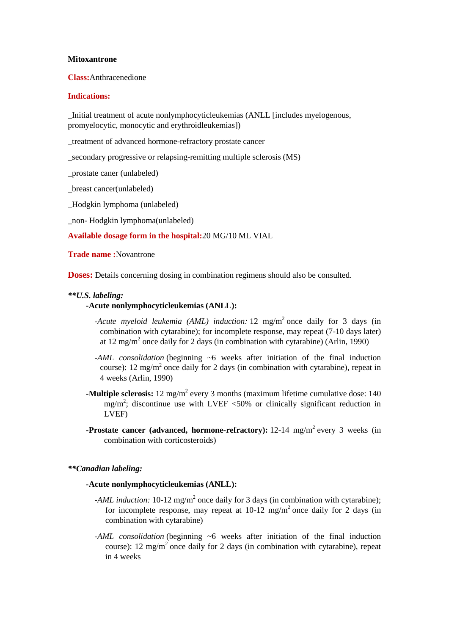#### **Mitoxantrone**

**Class:**Anthracenedione

#### **Indications:**

\_Initial treatment of acute nonlymphocyticleukemias (ANLL [includes myelogenous, promyelocytic, monocytic and erythroidleukemias])

\_treatment of advanced hormone-refractory prostate cancer

\_secondary progressive or relapsing-remitting multiple sclerosis (MS)

\_prostate caner (unlabeled)

\_breast cancer(unlabeled)

\_Hodgkin lymphoma (unlabeled)

\_non- Hodgkin lymphoma(unlabeled)

**Available dosage form in the hospital:**20 MG/10 ML VIAL

**Trade name :**Novantrone

**Doses:** Details concerning dosing in combination regimens should also be consulted.

### *\*\*U.S. labeling:*

### **-Acute nonlymphocyticleukemias (ANLL):**

- -Acute myeloid leukemia (AML) induction: 12 mg/m<sup>2</sup> once daily for 3 days (in combination with cytarabine); for incomplete response, may repeat (7-10 days later) at 12 mg/m<sup>2</sup> once daily for 2 days (in combination with cytarabine) (Arlin, 1990)
- *-AML consolidation* (beginning ~6 weeks after initiation of the final induction course): 12 mg/m<sup>2</sup> once daily for 2 days (in combination with cytarabine), repeat in 4 weeks (Arlin, 1990)
- **-Multiple sclerosis:** 12 mg/m<sup>2</sup> every 3 months (maximum lifetime cumulative dose: 140 mg/m<sup>2</sup>; discontinue use with LVEF <50% or clinically significant reduction in LVEF)
- **-Prostate cancer (advanced, hormone-refractory):** 12-14 mg/m<sup>2</sup> every 3 weeks (in combination with corticosteroids)

### *\*\*Canadian labeling:*

### **-Acute nonlymphocyticleukemias (ANLL):**

- -*AML induction*: 10-12 mg/m<sup>2</sup> once daily for 3 days (in combination with cytarabine); for incomplete response, may repeat at  $10-12 \text{ mg/m}^2$  once daily for 2 days (in combination with cytarabine)
- *-AML consolidation* (beginning ~6 weeks after initiation of the final induction course): 12 mg/m<sup>2</sup> once daily for 2 days (in combination with cytarabine), repeat in 4 weeks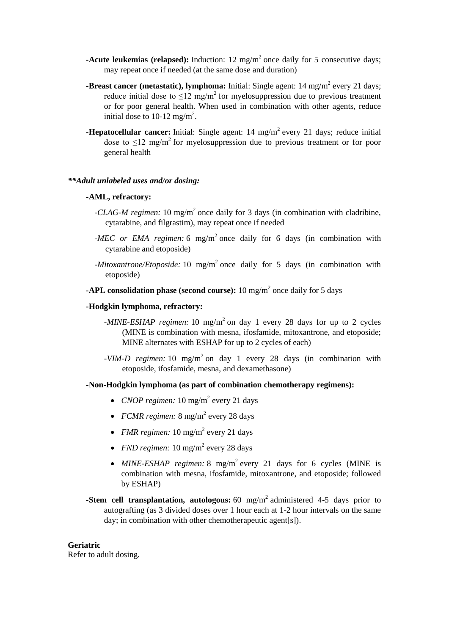- **-Acute leukemias (relapsed):** Induction:  $12 \text{ mg/m}^2$  once daily for 5 consecutive days; may repeat once if needed (at the same dose and duration)
- **-Breast cancer (metastatic), lymphoma:** Initial: Single agent: 14 mg/m<sup>2</sup> every 21 days; reduce initial dose to  $\leq 12$  mg/m<sup>2</sup> for myelosuppression due to previous treatment or for poor general health. When used in combination with other agents, reduce initial dose to 10-12 mg/m<sup>2</sup>.
- **-Hepatocellular cancer:** Initial: Single agent: 14 mg/m<sup>2</sup> every 21 days; reduce initial dose to  $\leq$ 12 mg/m<sup>2</sup> for myelosuppression due to previous treatment or for poor general health

#### *\*\*Adult unlabeled uses and/or dosing:*

#### **-AML, refractory:**

- *-CLAG-M regimen:* 10 mg/m<sup>2</sup> once daily for 3 days (in combination with cladribine, cytarabine, and filgrastim), may repeat once if needed
- *-MEC or EMA regimen:* 6 mg/m<sup>2</sup> once daily for 6 days (in combination with cytarabine and etoposide)
- *-Mitoxantrone/Etoposide:* 10 mg/m<sup>2</sup> once daily for 5 days (in combination with etoposide)
- **-APL consolidation phase (second course):**  $10 \text{ mg/m}^2$  once daily for 5 days

# **-Hodgkin lymphoma, refractory:**

- *-MINE-ESHAP regimen:* 10 mg/m<sup>2</sup> on day 1 every 28 days for up to 2 cycles (MINE is combination with mesna, ifosfamide, mitoxantrone, and etoposide; MINE alternates with ESHAP for up to 2 cycles of each)
- *-VIM-D regimen:* 10 mg/m<sup>2</sup> on day 1 every 28 days (in combination with etoposide, ifosfamide, mesna, and dexamethasone)

# **-Non-Hodgkin lymphoma (as part of combination chemotherapy regimens):**

- *CNOP regimen:* 10 mg/m<sup>2</sup> every 21 days
- *FCMR regimen:* 8 mg/m<sup>2</sup> every 28 days
- *FMR regimen:*  $10 \text{ mg/m}^2$  every 21 days
- *FND regimen:*  $10 \text{ mg/m}^2$  every 28 days
- MINE-ESHAP regimen: 8 mg/m<sup>2</sup> every 21 days for 6 cycles (MINE is combination with mesna, ifosfamide, mitoxantrone, and etoposide; followed by ESHAP)
- **-Stem cell transplantation, autologous:** 60 mg/m<sup>2</sup> administered 4-5 days prior to autografting (as 3 divided doses over 1 hour each at 1-2 hour intervals on the same day; in combination with other chemotherapeutic agent[s]).

### **Geriatric**

Refer to adult dosing.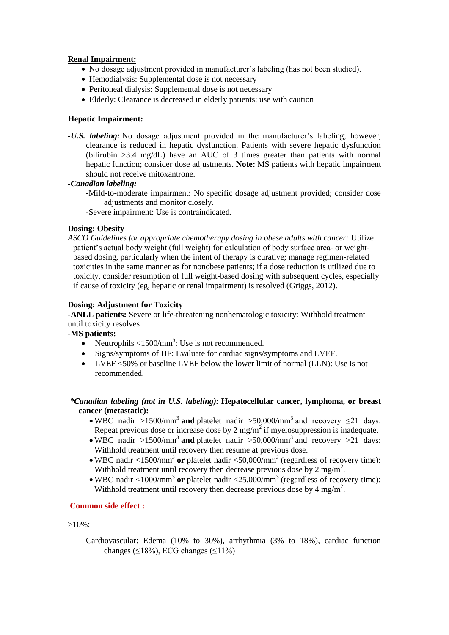### **Renal Impairment:**

- No dosage adjustment provided in manufacturer's labeling (has not been studied).
- Hemodialysis: Supplemental dose is not necessary
- Peritoneal dialysis: Supplemental dose is not necessary
- Elderly: Clearance is decreased in elderly patients; use with caution

## **Hepatic Impairment:**

*-U.S. labeling:* No dosage adjustment provided in the manufacturer's labeling; however, clearance is reduced in hepatic dysfunction. Patients with severe hepatic dysfunction (bilirubin >3.4 mg/dL) have an AUC of 3 times greater than patients with normal hepatic function; consider dose adjustments. **Note:** MS patients with hepatic impairment should not receive mitoxantrone.

## *-Canadian labeling:*

-Mild-to-moderate impairment: No specific dosage adjustment provided; consider dose adjustments and monitor closely.

-Severe impairment: Use is contraindicated.

# **Dosing: Obesity**

*ASCO Guidelines for appropriate chemotherapy dosing in obese adults with cancer:* Utilize patient's actual body weight (full weight) for calculation of body surface area- or weightbased dosing, particularly when the intent of therapy is curative; manage regimen-related toxicities in the same manner as for nonobese patients; if a dose reduction is utilized due to toxicity, consider resumption of full weight-based dosing with subsequent cycles, especially if cause of toxicity (eg, hepatic or renal impairment) is resolved (Griggs, 2012).

## **Dosing: Adjustment for Toxicity**

**-ANLL patients:** Severe or life-threatening nonhematologic toxicity: Withhold treatment until toxicity resolves

### **-MS patients:**

- Neutrophils  $\langle 1500/\text{mm}^3$ : Use is not recommended.
- Signs/symptoms of HF: Evaluate for cardiac signs/symptoms and LVEF.
- LVEF <50% or baseline LVEF below the lower limit of normal (LLN): Use is not recommended.

# *\*Canadian labeling (not in U.S. labeling):* **Hepatocellular cancer, lymphoma, or breast cancer (metastatic):**

- WBC nadir >1500/mm<sup>3</sup> and platelet nadir >50,000/mm<sup>3</sup> and recovery  $\leq$ 21 days: Repeat previous dose or increase dose by 2 mg/m<sup>2</sup> if myelosuppression is inadequate.
- WBC nadir >1500/mm<sup>3</sup> and platelet nadir >50,000/mm<sup>3</sup> and recovery >21 days: Withhold treatment until recovery then resume at previous dose.
- $\bullet$  WBC nadir <1500/mm<sup>3</sup> or platelet nadir <50,000/mm<sup>3</sup> (regardless of recovery time): Withhold treatment until recovery then decrease previous dose by 2 mg/m<sup>2</sup>.
- WBC nadir <1000/mm<sup>3</sup> or platelet nadir <25,000/mm<sup>3</sup> (regardless of recovery time): Withhold treatment until recovery then decrease previous dose by 4 mg/m<sup>2</sup>.

### **Common side effect :**

 $>10\%$ :

Cardiovascular: Edema (10% to 30%), arrhythmia (3% to 18%), cardiac function changes ( $\leq$ 18%), ECG changes ( $\leq$ 11%)